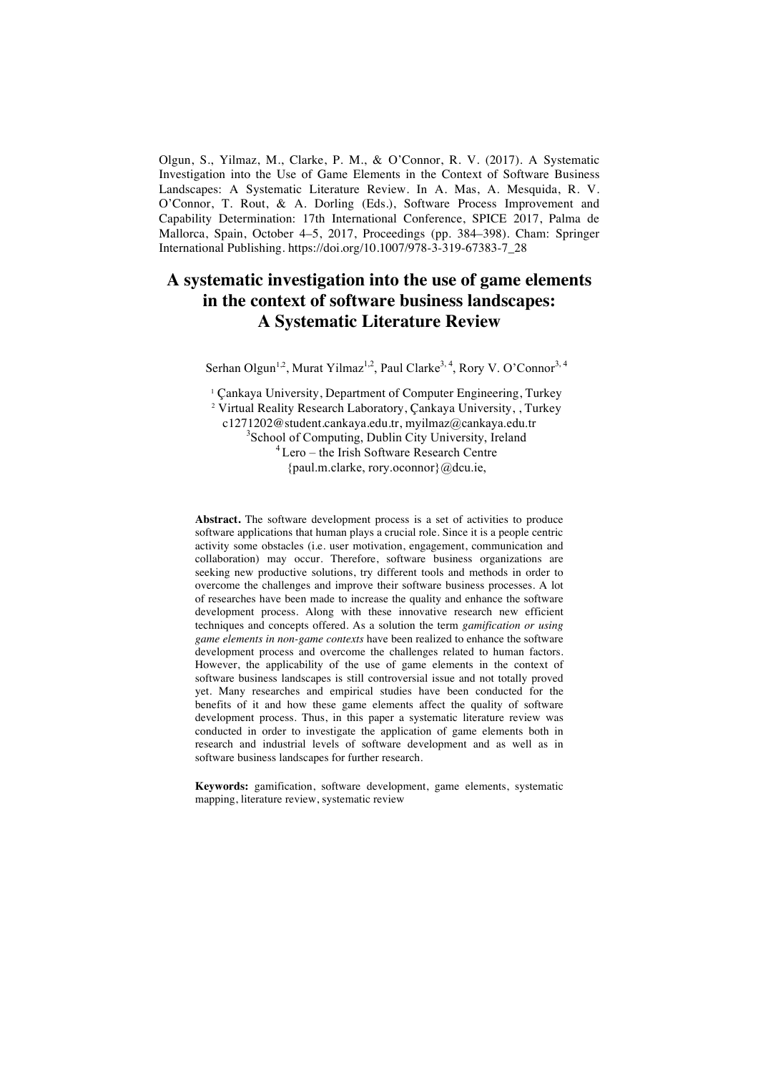Olgun, S., Yilmaz, M., Clarke, P. M., & O'Connor, R. V. (2017). A Systematic Investigation into the Use of Game Elements in the Context of Software Business Landscapes: A Systematic Literature Review. In A. Mas, A. Mesquida, R. V. O'Connor, T. Rout, & A. Dorling (Eds.), Software Process Improvement and Capability Determination: 17th International Conference, SPICE 2017, Palma de Mallorca, Spain, October 4–5, 2017, Proceedings (pp. 384–398). Cham: Springer International Publishing. https://doi.org/10.1007/978-3-319-67383-7\_28

# **A systematic investigation into the use of game elements in the context of software business landscapes: A Systematic Literature Review**

Serhan Olgun<sup>1,2</sup>, Murat Yilmaz<sup>1,2</sup>, Paul Clarke<sup>3, 4</sup>, Rory V. O'Connor<sup>3, 4</sup>

<sup>1</sup> Cankaya University, Department of Computer Engineering, Turkey <sup>2</sup> Virtual Reality Research Laboratory, Çankaya University, , Turkey c1271202@student.cankaya.edu.tr, myilmaz@cankaya.edu.tr <sup>3</sup>  $3$ School of Computing, Dublin City University, Ireland  $4$  Lero – the Irish Software Research Centre {paul.m.clarke, rory.oconnor}@dcu.ie,

Abstract. The software development process is a set of activities to produce software applications that human plays a crucial role. Since it is a people centric activity some obstacles (i.e. user motivation, engagement, communication and collaboration) may occur. Therefore, software business organizations are seeking new productive solutions, try different tools and methods in order to overcome the challenges and improve their software business processes. A lot of researches have been made to increase the quality and enhance the software development process. Along with these innovative research new efficient techniques and concepts offered. As a solution the term *gamification or using game elements in non-game contexts* have been realized to enhance the software development process and overcome the challenges related to human factors. However, the applicability of the use of game elements in the context of software business landscapes is still controversial issue and not totally proved yet. Many researches and empirical studies have been conducted for the benefits of it and how these game elements affect the quality of software development process. Thus, in this paper a systematic literature review was conducted in order to investigate the application of game elements both in research and industrial levels of software development and as well as in software business landscapes for further research.

**Keywords:** gamification, software development, game elements, systematic mapping, literature review, systematic review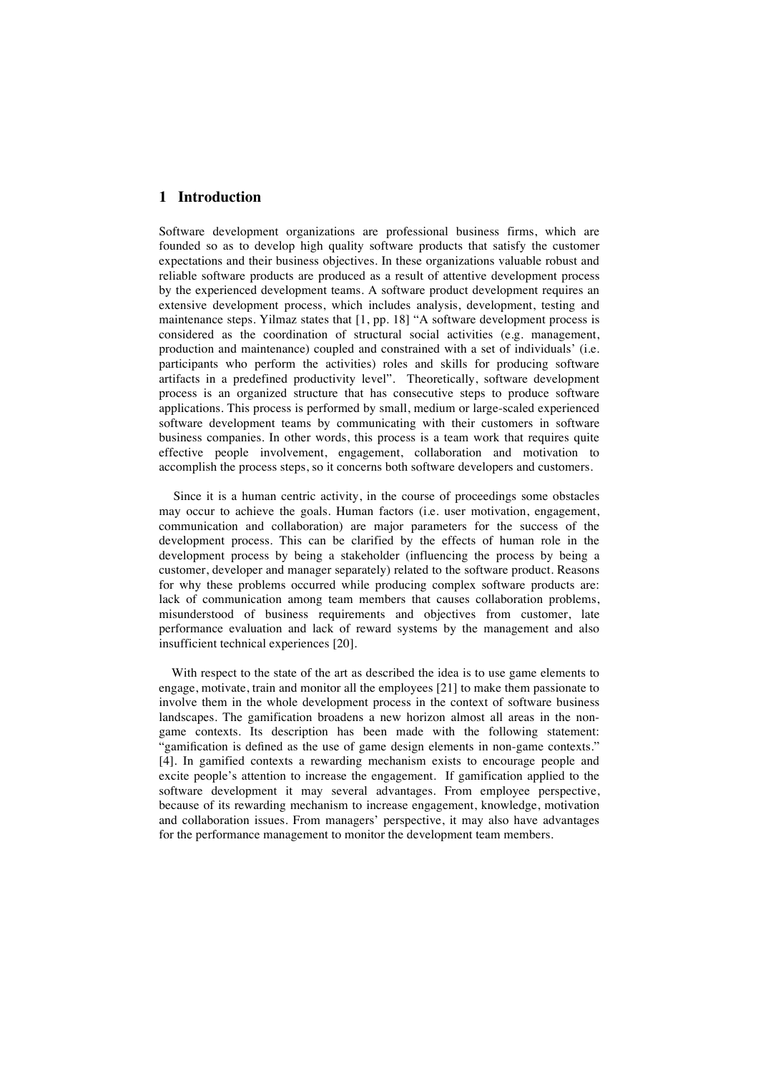## **1 Introduction**

Software development organizations are professional business firms, which are founded so as to develop high quality software products that satisfy the customer expectations and their business objectives. In these organizations valuable robust and reliable software products are produced as a result of attentive development process by the experienced development teams. A software product development requires an extensive development process, which includes analysis, development, testing and maintenance steps. Yilmaz states that [1, pp. 18] "A software development process is considered as the coordination of structural social activities (e.g. management, production and maintenance) coupled and constrained with a set of individuals' (i.e. participants who perform the activities) roles and skills for producing software artifacts in a predefined productivity level". Theoretically, software development process is an organized structure that has consecutive steps to produce software applications. This process is performed by small, medium or large-scaled experienced software development teams by communicating with their customers in software business companies. In other words, this process is a team work that requires quite effective people involvement, engagement, collaboration and motivation to accomplish the process steps, so it concerns both software developers and customers.

Since it is a human centric activity, in the course of proceedings some obstacles may occur to achieve the goals. Human factors (i.e. user motivation, engagement, communication and collaboration) are major parameters for the success of the development process. This can be clarified by the effects of human role in the development process by being a stakeholder (influencing the process by being a customer, developer and manager separately) related to the software product. Reasons for why these problems occurred while producing complex software products are: lack of communication among team members that causes collaboration problems, misunderstood of business requirements and objectives from customer, late performance evaluation and lack of reward systems by the management and also insufficient technical experiences [20].

 With respect to the state of the art as described the idea is to use game elements to engage, motivate, train and monitor all the employees [21] to make them passionate to involve them in the whole development process in the context of software business landscapes. The gamification broadens a new horizon almost all areas in the nongame contexts. Its description has been made with the following statement: "gamification is defined as the use of game design elements in non-game contexts." [4]. In gamified contexts a rewarding mechanism exists to encourage people and excite people's attention to increase the engagement. If gamification applied to the software development it may several advantages. From employee perspective, because of its rewarding mechanism to increase engagement, knowledge, motivation and collaboration issues. From managers' perspective, it may also have advantages for the performance management to monitor the development team members.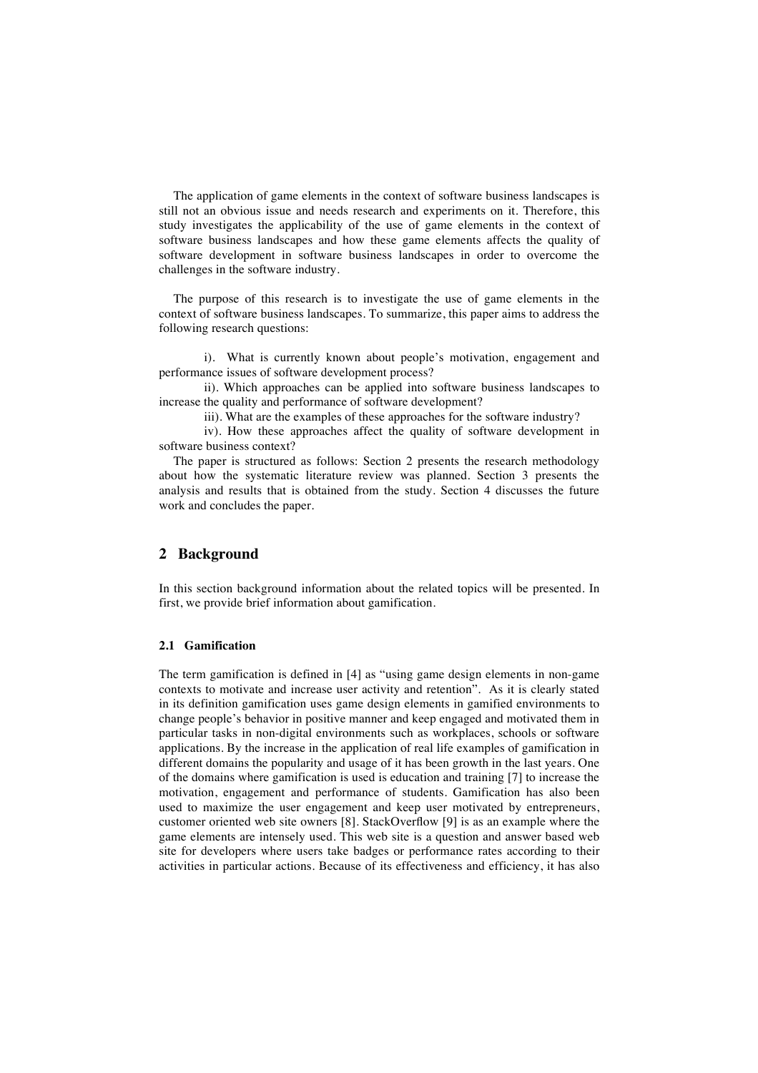The application of game elements in the context of software business landscapes is still not an obvious issue and needs research and experiments on it. Therefore, this study investigates the applicability of the use of game elements in the context of software business landscapes and how these game elements affects the quality of software development in software business landscapes in order to overcome the challenges in the software industry.

The purpose of this research is to investigate the use of game elements in the context of software business landscapes. To summarize, this paper aims to address the following research questions:

i). What is currently known about people's motivation, engagement and performance issues of software development process?

ii). Which approaches can be applied into software business landscapes to increase the quality and performance of software development?

iii). What are the examples of these approaches for the software industry?

iv). How these approaches affect the quality of software development in software business context?

The paper is structured as follows: Section 2 presents the research methodology about how the systematic literature review was planned. Section 3 presents the analysis and results that is obtained from the study. Section 4 discusses the future work and concludes the paper.

#### **2 Background**

In this section background information about the related topics will be presented. In first, we provide brief information about gamification.

#### **2.1 Gamification**

The term gamification is defined in [4] as "using game design elements in non-game contexts to motivate and increase user activity and retention". As it is clearly stated in its definition gamification uses game design elements in gamified environments to change people's behavior in positive manner and keep engaged and motivated them in particular tasks in non-digital environments such as workplaces, schools or software applications. By the increase in the application of real life examples of gamification in different domains the popularity and usage of it has been growth in the last years. One of the domains where gamification is used is education and training [7] to increase the motivation, engagement and performance of students. Gamification has also been used to maximize the user engagement and keep user motivated by entrepreneurs, customer oriented web site owners [8]. StackOverflow [9] is as an example where the game elements are intensely used. This web site is a question and answer based web site for developers where users take badges or performance rates according to their activities in particular actions. Because of its effectiveness and efficiency, it has also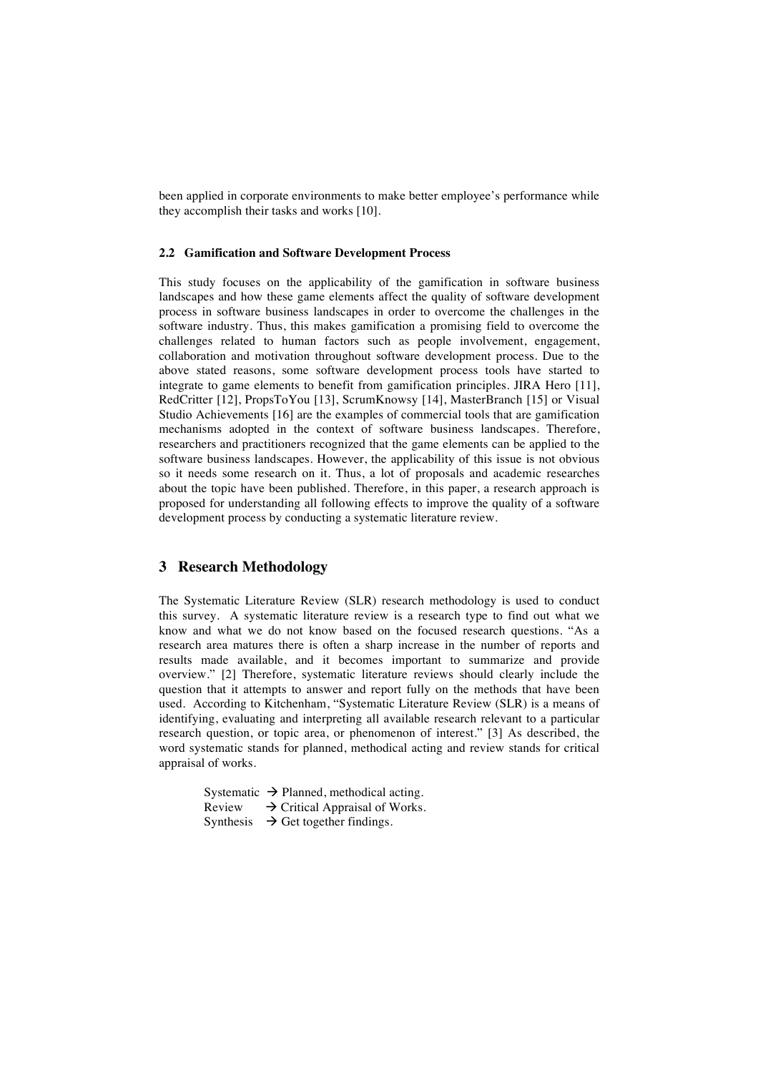been applied in corporate environments to make better employee's performance while they accomplish their tasks and works [10].

#### **2.2 Gamification and Software Development Process**

This study focuses on the applicability of the gamification in software business landscapes and how these game elements affect the quality of software development process in software business landscapes in order to overcome the challenges in the software industry. Thus, this makes gamification a promising field to overcome the challenges related to human factors such as people involvement, engagement, collaboration and motivation throughout software development process. Due to the above stated reasons, some software development process tools have started to integrate to game elements to benefit from gamification principles. JIRA Hero [11], RedCritter [12], PropsToYou [13], ScrumKnowsy [14], MasterBranch [15] or Visual Studio Achievements [16] are the examples of commercial tools that are gamification mechanisms adopted in the context of software business landscapes. Therefore, researchers and practitioners recognized that the game elements can be applied to the software business landscapes. However, the applicability of this issue is not obvious so it needs some research on it. Thus, a lot of proposals and academic researches about the topic have been published. Therefore, in this paper, a research approach is proposed for understanding all following effects to improve the quality of a software development process by conducting a systematic literature review.

## **3 Research Methodology**

The Systematic Literature Review (SLR) research methodology is used to conduct this survey. A systematic literature review is a research type to find out what we know and what we do not know based on the focused research questions. "As a research area matures there is often a sharp increase in the number of reports and results made available, and it becomes important to summarize and provide overview." [2] Therefore, systematic literature reviews should clearly include the question that it attempts to answer and report fully on the methods that have been used. According to Kitchenham, "Systematic Literature Review (SLR) is a means of identifying, evaluating and interpreting all available research relevant to a particular research question, or topic area, or phenomenon of interest." [3] As described, the word systematic stands for planned, methodical acting and review stands for critical appraisal of works.

|        | Systematic $\rightarrow$ Planned, methodical acting. |
|--------|------------------------------------------------------|
| Review | $\rightarrow$ Critical Appraisal of Works.           |
|        | Synthesis $\rightarrow$ Get together findings.       |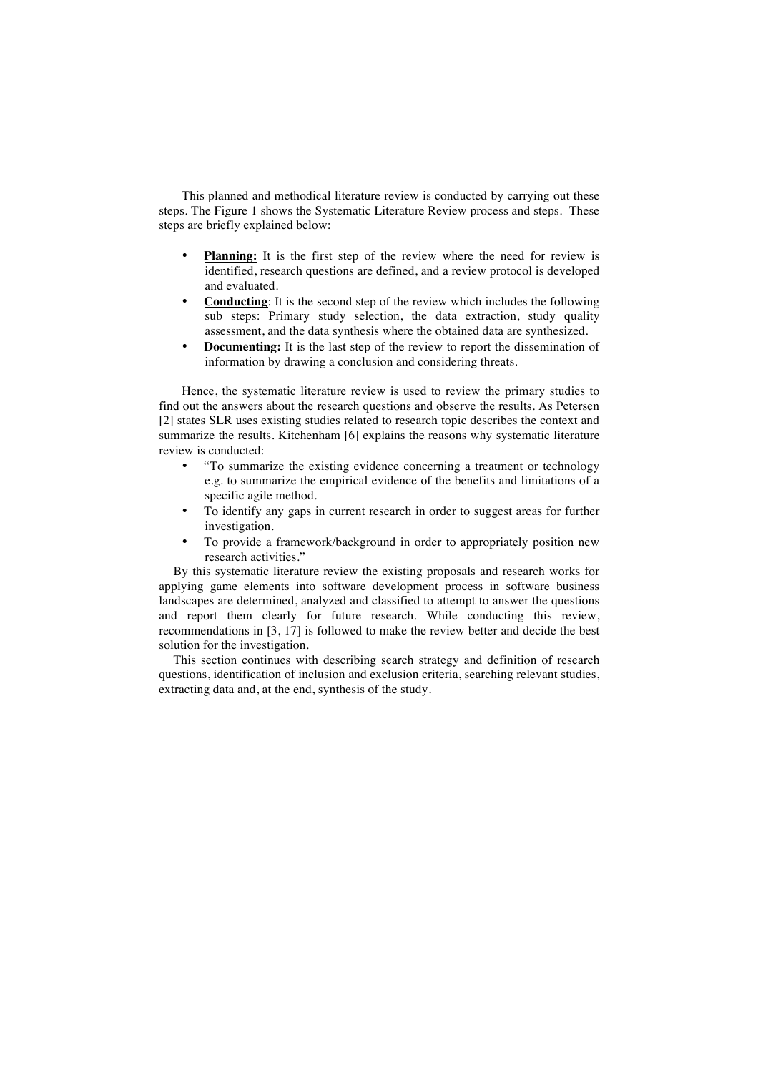This planned and methodical literature review is conducted by carrying out these steps. The Figure 1 shows the Systematic Literature Review process and steps. These steps are briefly explained below:

- **Planning:** It is the first step of the review where the need for review is identified, research questions are defined, and a review protocol is developed and evaluated.
- **Conducting**: It is the second step of the review which includes the following sub steps: Primary study selection, the data extraction, study quality assessment, and the data synthesis where the obtained data are synthesized.
- **Documenting:** It is the last step of the review to report the dissemination of information by drawing a conclusion and considering threats.

Hence, the systematic literature review is used to review the primary studies to find out the answers about the research questions and observe the results. As Petersen [2] states SLR uses existing studies related to research topic describes the context and summarize the results. Kitchenham [6] explains the reasons why systematic literature review is conducted:

- "To summarize the existing evidence concerning a treatment or technology e.g. to summarize the empirical evidence of the benefits and limitations of a specific agile method.
- To identify any gaps in current research in order to suggest areas for further investigation.
- To provide a framework/background in order to appropriately position new research activities."

By this systematic literature review the existing proposals and research works for applying game elements into software development process in software business landscapes are determined, analyzed and classified to attempt to answer the questions and report them clearly for future research. While conducting this review, recommendations in [3, 17] is followed to make the review better and decide the best solution for the investigation.

This section continues with describing search strategy and definition of research questions, identification of inclusion and exclusion criteria, searching relevant studies, extracting data and, at the end, synthesis of the study.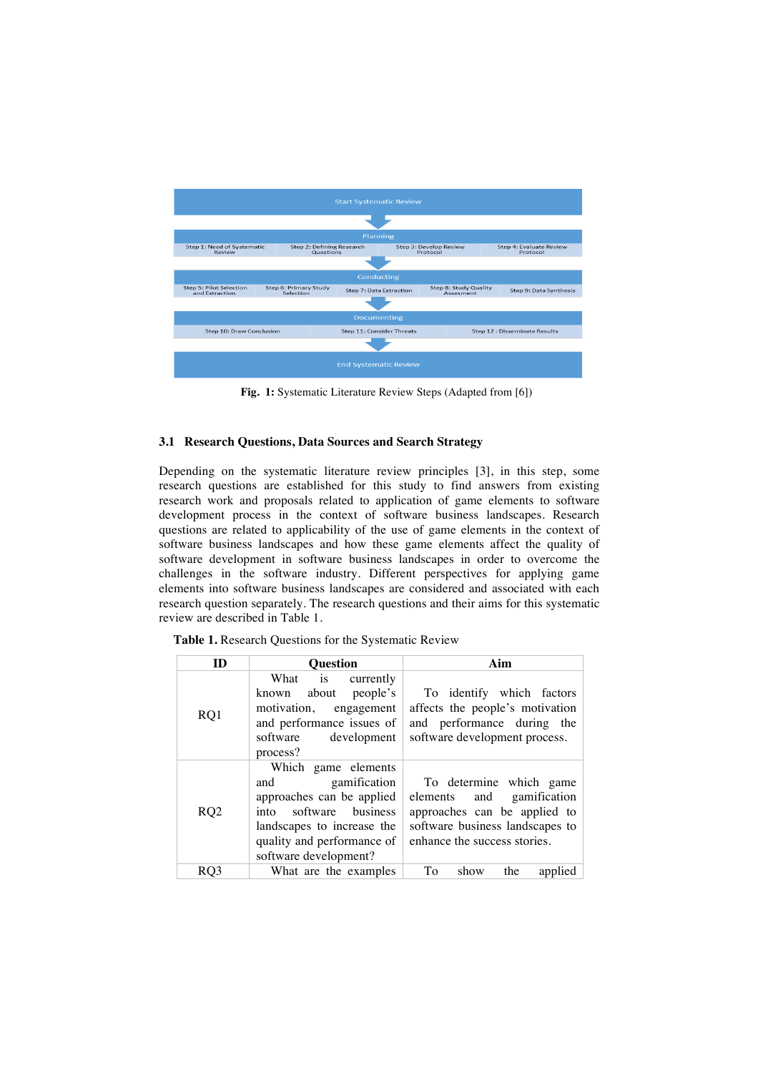

**Fig. 1:** Systematic Literature Review Steps (Adapted from [6])

#### **3.1 Research Questions, Data Sources and Search Strategy**

Depending on the systematic literature review principles [3], in this step, some research questions are established for this study to find answers from existing research work and proposals related to application of game elements to software development process in the context of software business landscapes. Research questions are related to applicability of the use of game elements in the context of software business landscapes and how these game elements affect the quality of software development in software business landscapes in order to overcome the challenges in the software industry. Different perspectives for applying game elements into software business landscapes are considered and associated with each research question separately. The research questions and their aims for this systematic review are described in Table 1.

| ID              | <b>Ouestion</b>                                                                                                                                                                        | Aim                                                                                                                                                        |
|-----------------|----------------------------------------------------------------------------------------------------------------------------------------------------------------------------------------|------------------------------------------------------------------------------------------------------------------------------------------------------------|
| RQ1             | What is<br>currently<br>known about people's<br>motivation, engagement<br>and performance issues of<br>software development<br>process?                                                | To identify which factors<br>affects the people's motivation<br>and performance during the<br>software development process.                                |
| RO <sub>2</sub> | Which game elements<br>and gamification<br>approaches can be applied<br>software business<br>into<br>landscapes to increase the<br>quality and performance of<br>software development? | To determine which game<br>elements and<br>gamification<br>approaches can be applied to<br>software business landscapes to<br>enhance the success stories. |
| RO3             | What are the examples                                                                                                                                                                  | To<br>the<br>show<br>applied                                                                                                                               |

| Table 1. Research Questions for the Systematic Review |  |
|-------------------------------------------------------|--|
|-------------------------------------------------------|--|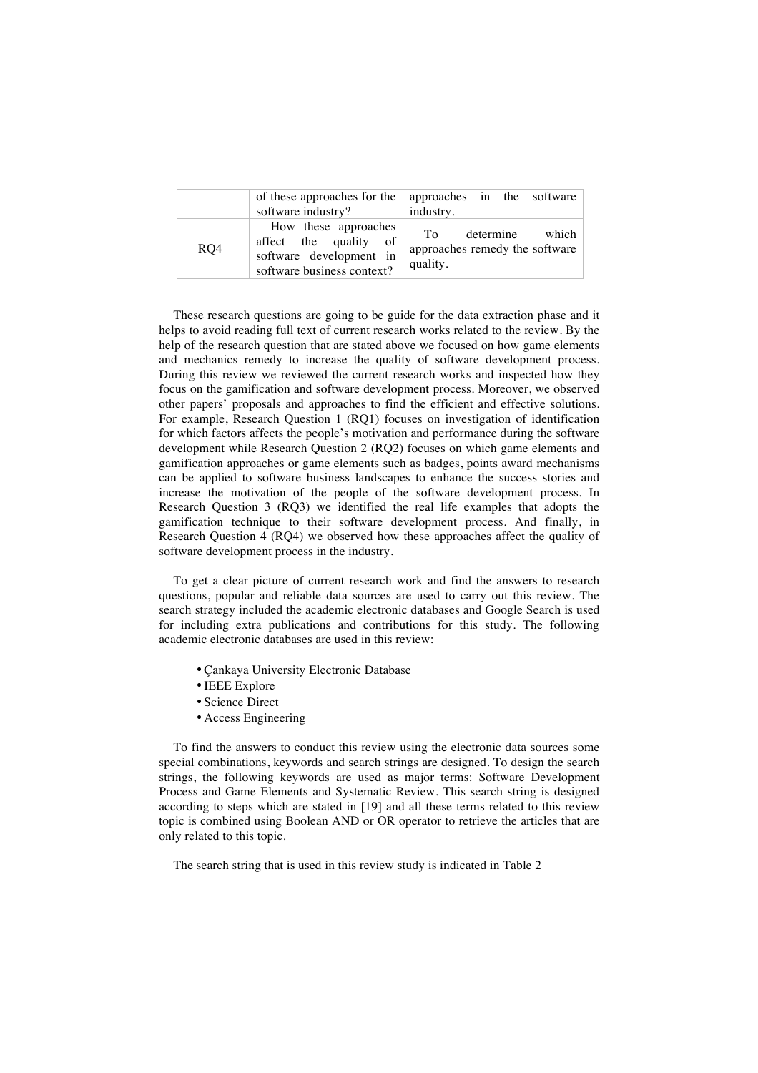|     | of these approaches for the                                                                            | approaches in the software                                               |
|-----|--------------------------------------------------------------------------------------------------------|--------------------------------------------------------------------------|
|     | software industry?                                                                                     | industry.                                                                |
| RQ4 | How these approaches<br>affect the quality of<br>software development in<br>software business context? | To -<br>determine<br>which<br>approaches remedy the software<br>quality. |

These research questions are going to be guide for the data extraction phase and it helps to avoid reading full text of current research works related to the review. By the help of the research question that are stated above we focused on how game elements and mechanics remedy to increase the quality of software development process. During this review we reviewed the current research works and inspected how they focus on the gamification and software development process. Moreover, we observed other papers' proposals and approaches to find the efficient and effective solutions. For example, Research Question 1 (RQ1) focuses on investigation of identification for which factors affects the people's motivation and performance during the software development while Research Question 2 (RQ2) focuses on which game elements and gamification approaches or game elements such as badges, points award mechanisms can be applied to software business landscapes to enhance the success stories and increase the motivation of the people of the software development process. In Research Question 3 (RQ3) we identified the real life examples that adopts the gamification technique to their software development process. And finally, in Research Question 4 (RQ4) we observed how these approaches affect the quality of software development process in the industry.

To get a clear picture of current research work and find the answers to research questions, popular and reliable data sources are used to carry out this review. The search strategy included the academic electronic databases and Google Search is used for including extra publications and contributions for this study. The following academic electronic databases are used in this review:

- •Çankaya University Electronic Database
- IEEE Explore
- Science Direct
- Access Engineering

To find the answers to conduct this review using the electronic data sources some special combinations, keywords and search strings are designed. To design the search strings, the following keywords are used as major terms: Software Development Process and Game Elements and Systematic Review. This search string is designed according to steps which are stated in [19] and all these terms related to this review topic is combined using Boolean AND or OR operator to retrieve the articles that are only related to this topic.

The search string that is used in this review study is indicated in Table 2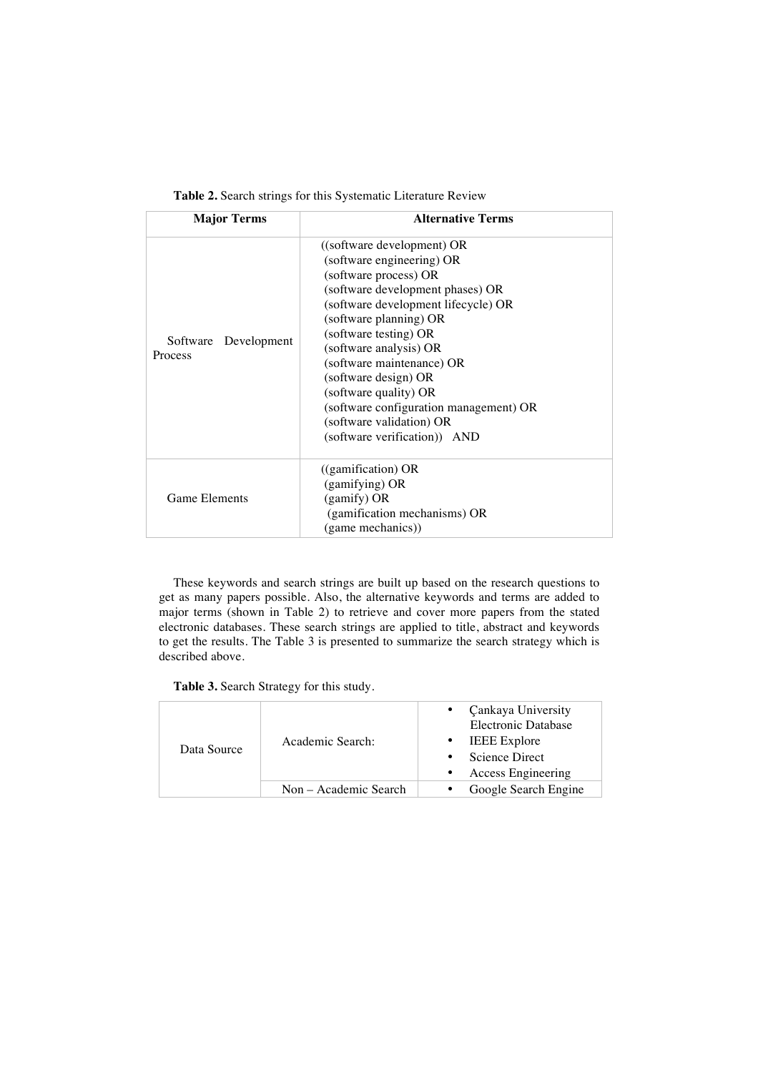|  |  |  | Table 2. Search strings for this Systematic Literature Review |  |
|--|--|--|---------------------------------------------------------------|--|
|  |  |  |                                                               |  |

| <b>Major Terms</b>              | <b>Alternative Terms</b>                                                                                                                                                                                                                                                                                                                                                                                                     |
|---------------------------------|------------------------------------------------------------------------------------------------------------------------------------------------------------------------------------------------------------------------------------------------------------------------------------------------------------------------------------------------------------------------------------------------------------------------------|
| Software Development<br>Process | ((software development) OR<br>(software engineering) OR<br>(software process) OR<br>(software development phases) OR<br>(software development lifecycle) OR<br>(software planning) OR<br>(software testing) OR<br>(software analysis) OR<br>(software maintenance) OR<br>(software design) OR<br>(software quality) OR<br>(software configuration management) OR<br>(software validation) OR<br>(software verification)) AND |
| <b>Game Elements</b>            | ((gamification) OR)<br>(gamifying) OR<br>(gamify) OR<br>(gamification mechanisms) OR<br>(game mechanics))                                                                                                                                                                                                                                                                                                                    |

These keywords and search strings are built up based on the research questions to get as many papers possible. Also, the alternative keywords and terms are added to major terms (shown in Table 2) to retrieve and cover more papers from the stated electronic databases. These search strings are applied to title, abstract and keywords to get the results. The Table 3 is presented to summarize the search strategy which is described above.

**Table 3.** Search Strategy for this study.

| Academic Search:      | Cankaya University<br><b>Electronic Database</b><br><b>IEEE</b> Explore<br>Science Direct<br>$\bullet$<br>Access Engineering |
|-----------------------|------------------------------------------------------------------------------------------------------------------------------|
| Non – Academic Search | Google Search Engine                                                                                                         |
|                       |                                                                                                                              |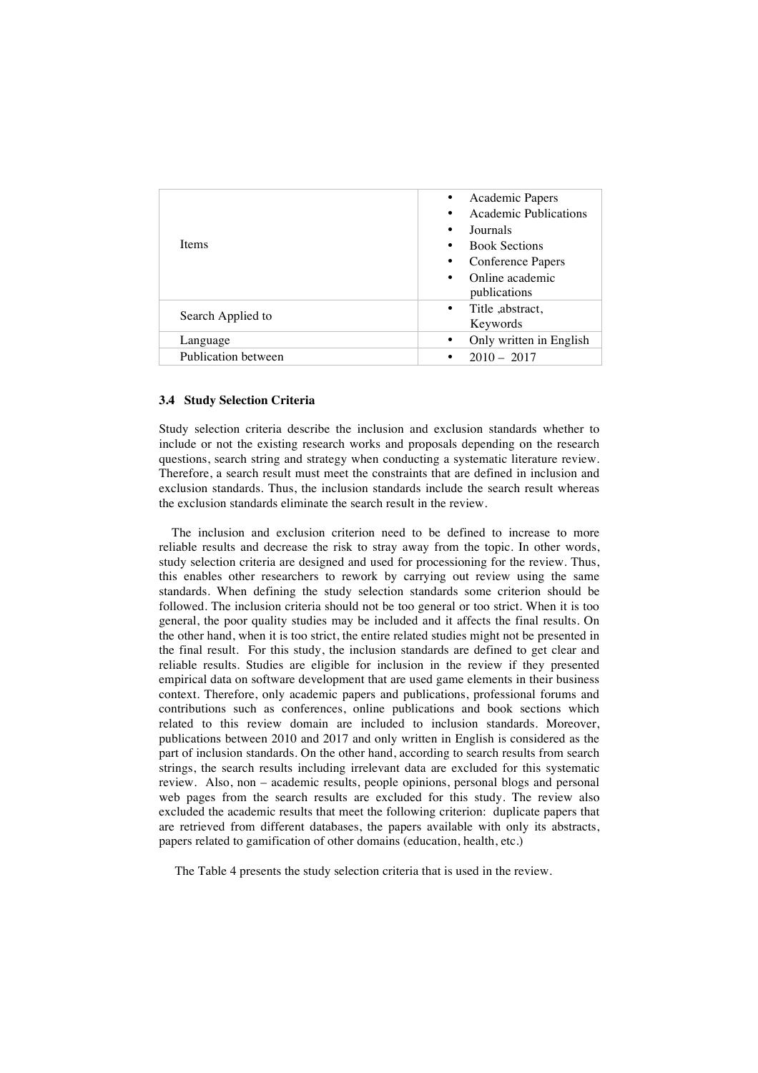|                     | Academic Papers<br>$\bullet$              |
|---------------------|-------------------------------------------|
|                     | <b>Academic Publications</b><br>$\bullet$ |
|                     | Journals<br>٠                             |
| Items               | <b>Book Sections</b><br>$\bullet$         |
|                     | Conference Papers<br>٠                    |
|                     | Online academic<br>$\bullet$              |
|                     | publications                              |
|                     | Title ,abstract,<br>$\bullet$             |
|                     | Keywords                                  |
| Language            | Only written in English<br>٠              |
| Publication between | $2010 - 2017$<br>٠                        |
| Search Applied to   |                                           |

#### **3.4 Study Selection Criteria**

Study selection criteria describe the inclusion and exclusion standards whether to include or not the existing research works and proposals depending on the research questions, search string and strategy when conducting a systematic literature review. Therefore, a search result must meet the constraints that are defined in inclusion and exclusion standards. Thus, the inclusion standards include the search result whereas the exclusion standards eliminate the search result in the review.

 The inclusion and exclusion criterion need to be defined to increase to more reliable results and decrease the risk to stray away from the topic. In other words, study selection criteria are designed and used for processioning for the review. Thus, this enables other researchers to rework by carrying out review using the same standards. When defining the study selection standards some criterion should be followed. The inclusion criteria should not be too general or too strict. When it is too general, the poor quality studies may be included and it affects the final results. On the other hand, when it is too strict, the entire related studies might not be presented in the final result. For this study, the inclusion standards are defined to get clear and reliable results. Studies are eligible for inclusion in the review if they presented empirical data on software development that are used game elements in their business context. Therefore, only academic papers and publications, professional forums and contributions such as conferences, online publications and book sections which related to this review domain are included to inclusion standards. Moreover, publications between 2010 and 2017 and only written in English is considered as the part of inclusion standards. On the other hand, according to search results from search strings, the search results including irrelevant data are excluded for this systematic review. Also, non – academic results, people opinions, personal blogs and personal web pages from the search results are excluded for this study. The review also excluded the academic results that meet the following criterion: duplicate papers that are retrieved from different databases, the papers available with only its abstracts, papers related to gamification of other domains (education, health, etc.)

The Table 4 presents the study selection criteria that is used in the review.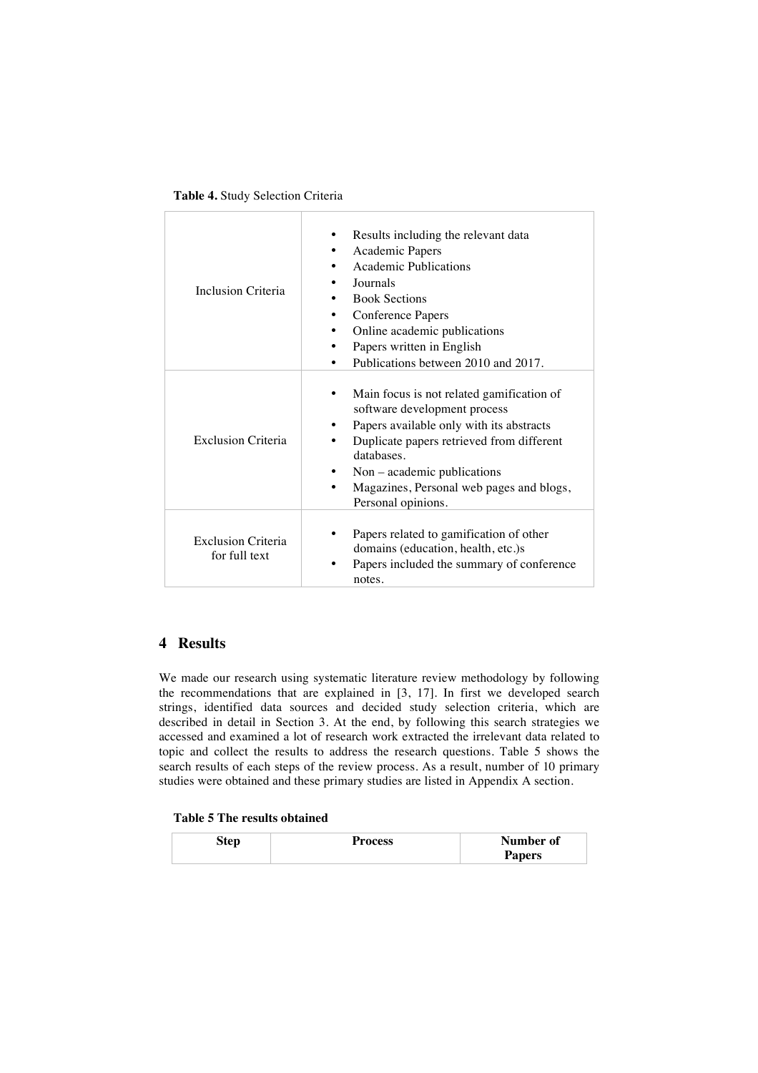|  |  |  | Table 4. Study Selection Criteria |  |
|--|--|--|-----------------------------------|--|
|--|--|--|-----------------------------------|--|

| Inclusion Criteria                         | Results including the relevant data<br>Academic Papers<br>٠<br>Academic Publications<br>Journals<br><b>Book Sections</b><br>Conference Papers<br>٠<br>Online academic publications<br>٠<br>Papers written in English<br>Publications between 2010 and 2017.                            |
|--------------------------------------------|----------------------------------------------------------------------------------------------------------------------------------------------------------------------------------------------------------------------------------------------------------------------------------------|
| <b>Exclusion Criteria</b>                  | Main focus is not related gamification of<br>software development process<br>Papers available only with its abstracts<br>Duplicate papers retrieved from different<br>databases.<br>Non – academic publications<br>Magazines, Personal web pages and blogs,<br>٠<br>Personal opinions. |
| <b>Exclusion Criteria</b><br>for full text | Papers related to gamification of other<br>domains (education, health, etc.)s<br>Papers included the summary of conference<br>notes.                                                                                                                                                   |

## **4 Results**

We made our research using systematic literature review methodology by following the recommendations that are explained in [3, 17]. In first we developed search strings, identified data sources and decided study selection criteria, which are described in detail in Section 3. At the end, by following this search strategies we accessed and examined a lot of research work extracted the irrelevant data related to topic and collect the results to address the research questions. Table 5 shows the search results of each steps of the review process. As a result, number of 10 primary studies were obtained and these primary studies are listed in Appendix A section.

### **Table 5 The results obtained**

| - | Number of |
|---|-----------|
|   | ærs<br>-  |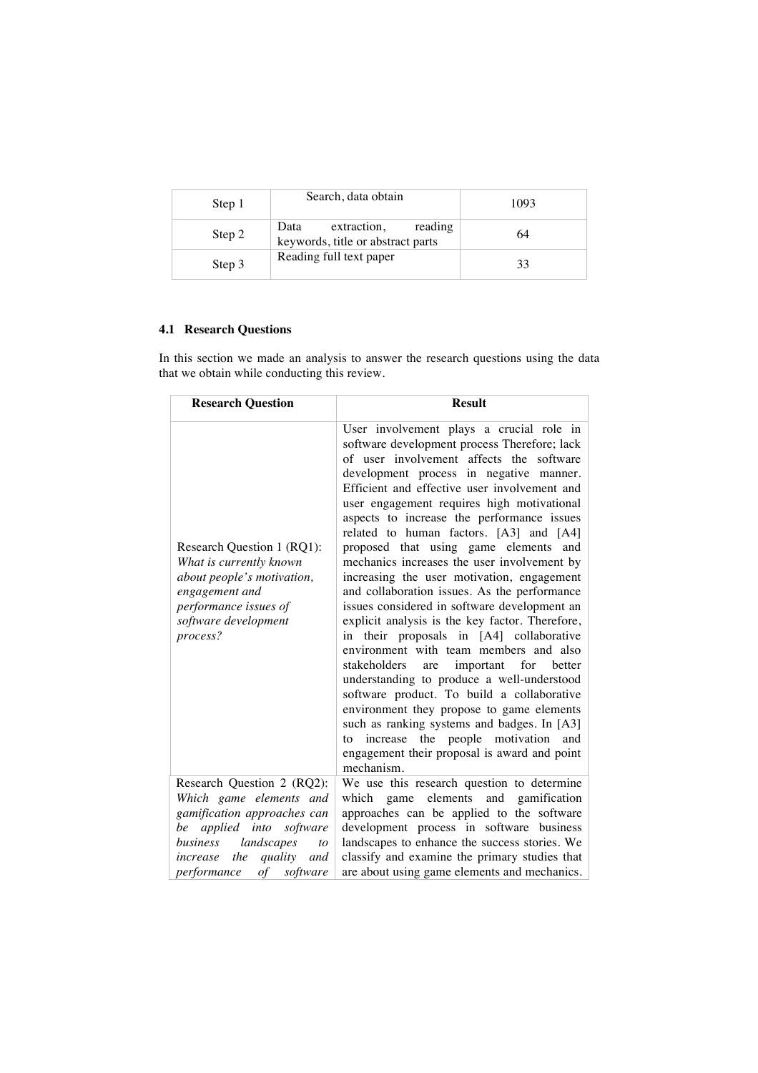| Step 1 | Search, data obtain                                                 | 1093 |
|--------|---------------------------------------------------------------------|------|
| Step 2 | extraction,<br>reading<br>Data<br>keywords, title or abstract parts | 64   |
| Step 3 | Reading full text paper                                             |      |

## **4.1 Research Questions**

In this section we made an analysis to answer the research questions using the data that we obtain while conducting this review.

| <b>Research Question</b>                                                                                                                                                                                            | <b>Result</b>                                                                                                                                                                                                                                                                                                                                                                                                                                                                                                                                                                                                                                                                                                                                                                                                                                                                                                                                                                                                                                                                                                |
|---------------------------------------------------------------------------------------------------------------------------------------------------------------------------------------------------------------------|--------------------------------------------------------------------------------------------------------------------------------------------------------------------------------------------------------------------------------------------------------------------------------------------------------------------------------------------------------------------------------------------------------------------------------------------------------------------------------------------------------------------------------------------------------------------------------------------------------------------------------------------------------------------------------------------------------------------------------------------------------------------------------------------------------------------------------------------------------------------------------------------------------------------------------------------------------------------------------------------------------------------------------------------------------------------------------------------------------------|
| Research Question 1 (RQ1):<br>What is currently known<br>about people's motivation,<br>engagement and<br>performance issues of<br>software development<br>process?                                                  | User involvement plays a crucial role in<br>software development process Therefore; lack<br>of user involvement affects the software<br>development process in negative manner.<br>Efficient and effective user involvement and<br>user engagement requires high motivational<br>aspects to increase the performance issues<br>related to human factors. [A3] and [A4]<br>proposed that using game elements and<br>mechanics increases the user involvement by<br>increasing the user motivation, engagement<br>and collaboration issues. As the performance<br>issues considered in software development an<br>explicit analysis is the key factor. Therefore,<br>in their proposals in [A4] collaborative<br>environment with team members and also<br>stakeholders<br>important for<br>better<br>are<br>understanding to produce a well-understood<br>software product. To build a collaborative<br>environment they propose to game elements<br>such as ranking systems and badges. In [A3]<br>increase the people motivation<br>and<br>to<br>engagement their proposal is award and point<br>mechanism. |
| Research Question 2 (RQ2):<br>Which game elements and<br>gamification approaches can<br>be applied into software<br>landscapes<br>business<br>to<br>the<br>quality<br>increase<br>and<br>of software<br>performance | We use this research question to determine<br>elements and gamification<br>game<br>which<br>approaches can be applied to the software<br>development process in software business<br>landscapes to enhance the success stories. We<br>classify and examine the primary studies that<br>are about using game elements and mechanics.                                                                                                                                                                                                                                                                                                                                                                                                                                                                                                                                                                                                                                                                                                                                                                          |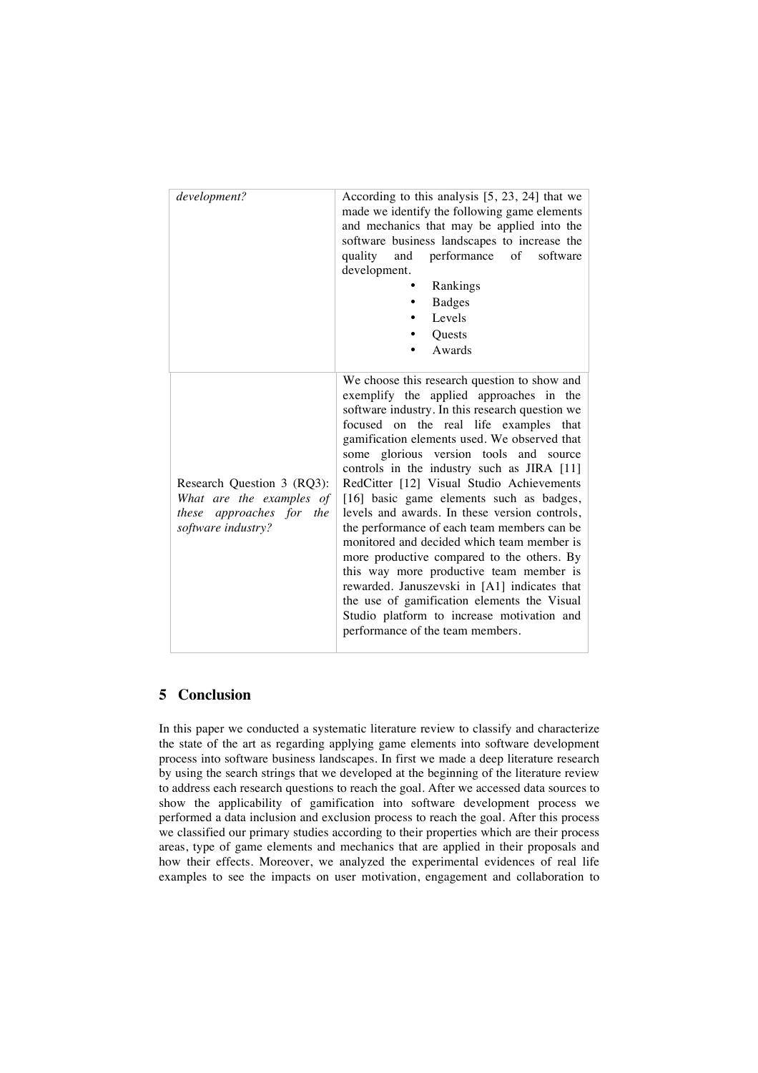| development?                                                                                             | According to this analysis $[5, 23, 24]$ that we<br>made we identify the following game elements<br>and mechanics that may be applied into the<br>software business landscapes to increase the<br>performance of<br>quality<br>and<br>software<br>development.<br>Rankings<br><b>Badges</b><br>Levels<br>Quests<br>Awards                                                                                                                                                                                                                                                                                                                                                                                                                                                                                                                     |
|----------------------------------------------------------------------------------------------------------|-----------------------------------------------------------------------------------------------------------------------------------------------------------------------------------------------------------------------------------------------------------------------------------------------------------------------------------------------------------------------------------------------------------------------------------------------------------------------------------------------------------------------------------------------------------------------------------------------------------------------------------------------------------------------------------------------------------------------------------------------------------------------------------------------------------------------------------------------|
| Research Question 3 (RQ3):<br>What are the examples of<br>these approaches for the<br>software industry? | We choose this research question to show and<br>exemplify the applied approaches in the<br>software industry. In this research question we<br>focused on the real life examples that<br>gamification elements used. We observed that<br>some glorious version tools and source<br>controls in the industry such as JIRA [11]<br>RedCitter [12] Visual Studio Achievements<br>[16] basic game elements such as badges,<br>levels and awards. In these version controls,<br>the performance of each team members can be<br>monitored and decided which team member is<br>more productive compared to the others. By<br>this way more productive team member is<br>rewarded. Januszevski in [A1] indicates that<br>the use of gamification elements the Visual<br>Studio platform to increase motivation and<br>performance of the team members. |

# **5 Conclusion**

In this paper we conducted a systematic literature review to classify and characterize the state of the art as regarding applying game elements into software development process into software business landscapes. In first we made a deep literature research by using the search strings that we developed at the beginning of the literature review to address each research questions to reach the goal. After we accessed data sources to show the applicability of gamification into software development process we performed a data inclusion and exclusion process to reach the goal. After this process we classified our primary studies according to their properties which are their process areas, type of game elements and mechanics that are applied in their proposals and how their effects. Moreover, we analyzed the experimental evidences of real life examples to see the impacts on user motivation, engagement and collaboration to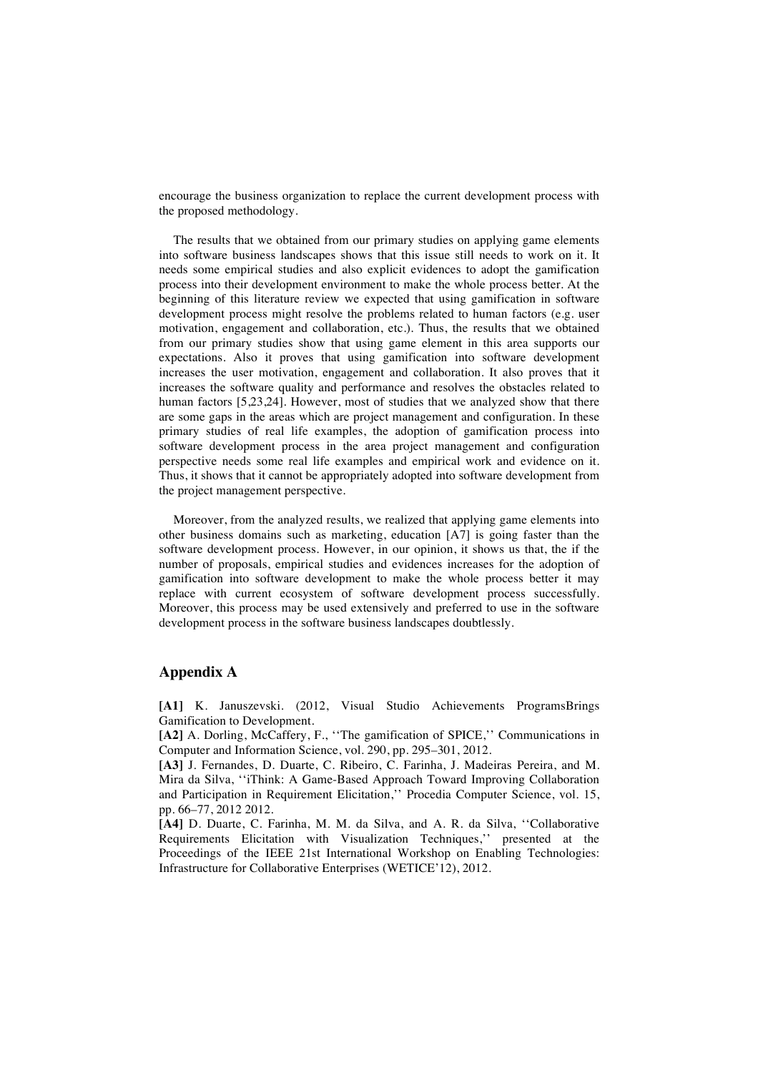encourage the business organization to replace the current development process with the proposed methodology.

The results that we obtained from our primary studies on applying game elements into software business landscapes shows that this issue still needs to work on it. It needs some empirical studies and also explicit evidences to adopt the gamification process into their development environment to make the whole process better. At the beginning of this literature review we expected that using gamification in software development process might resolve the problems related to human factors (e.g. user motivation, engagement and collaboration, etc.). Thus, the results that we obtained from our primary studies show that using game element in this area supports our expectations. Also it proves that using gamification into software development increases the user motivation, engagement and collaboration. It also proves that it increases the software quality and performance and resolves the obstacles related to human factors [5,23,24]. However, most of studies that we analyzed show that there are some gaps in the areas which are project management and configuration. In these primary studies of real life examples, the adoption of gamification process into software development process in the area project management and configuration perspective needs some real life examples and empirical work and evidence on it. Thus, it shows that it cannot be appropriately adopted into software development from the project management perspective.

Moreover, from the analyzed results, we realized that applying game elements into other business domains such as marketing, education [A7] is going faster than the software development process. However, in our opinion, it shows us that, the if the number of proposals, empirical studies and evidences increases for the adoption of gamification into software development to make the whole process better it may replace with current ecosystem of software development process successfully. Moreover, this process may be used extensively and preferred to use in the software development process in the software business landscapes doubtlessly.

### **Appendix A**

**[A1]** K. Januszevski. (2012, Visual Studio Achievements ProgramsBrings Gamification to Development.

**[A2]** A. Dorling, McCaffery, F., ''The gamification of SPICE,'' Communications in Computer and Information Science, vol. 290, pp. 295–301, 2012.

**[A3]** J. Fernandes, D. Duarte, C. Ribeiro, C. Farinha, J. Madeiras Pereira, and M. Mira da Silva, ''iThink: A Game-Based Approach Toward Improving Collaboration and Participation in Requirement Elicitation,'' Procedia Computer Science, vol. 15, pp. 66–77, 2012 2012.

**[A4]** D. Duarte, C. Farinha, M. M. da Silva, and A. R. da Silva, ''Collaborative Requirements Elicitation with Visualization Techniques,'' presented at the Proceedings of the IEEE 21st International Workshop on Enabling Technologies: Infrastructure for Collaborative Enterprises (WETICE'12), 2012.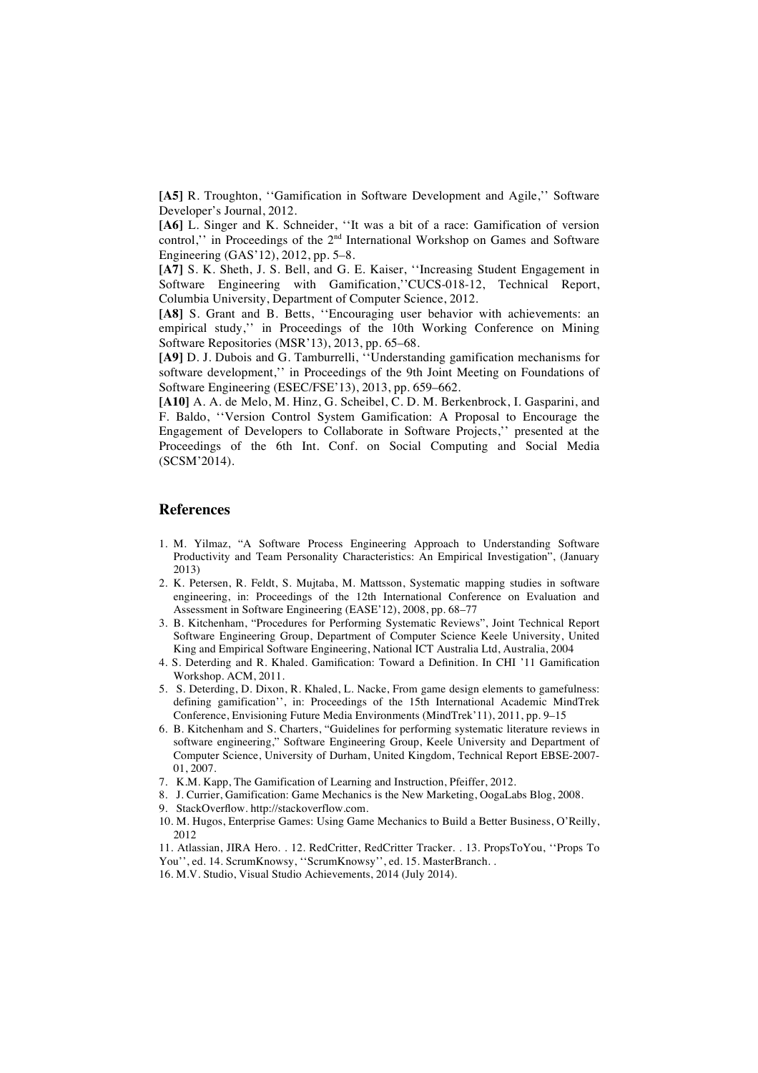**[A5]** R. Troughton, ''Gamification in Software Development and Agile,'' Software Developer's Journal, 2012.

**[A6]** L. Singer and K. Schneider, ''It was a bit of a race: Gamification of version control," in Proceedings of the  $2<sup>nd</sup>$  International Workshop on Games and Software Engineering (GAS'12), 2012, pp. 5–8.

**[A7]** S. K. Sheth, J. S. Bell, and G. E. Kaiser, ''Increasing Student Engagement in Software Engineering with Gamification,''CUCS-018-12, Technical Report, Columbia University, Department of Computer Science, 2012.

**[A8]** S. Grant and B. Betts, ''Encouraging user behavior with achievements: an empirical study,'' in Proceedings of the 10th Working Conference on Mining Software Repositories (MSR'13), 2013, pp. 65–68.

**[A9]** D. J. Dubois and G. Tamburrelli, ''Understanding gamification mechanisms for software development,'' in Proceedings of the 9th Joint Meeting on Foundations of Software Engineering (ESEC/FSE'13), 2013, pp. 659–662.

**[A10]** A. A. de Melo, M. Hinz, G. Scheibel, C. D. M. Berkenbrock, I. Gasparini, and F. Baldo, ''Version Control System Gamification: A Proposal to Encourage the Engagement of Developers to Collaborate in Software Projects,'' presented at the Proceedings of the 6th Int. Conf. on Social Computing and Social Media (SCSM'2014).

#### **References**

- 1. M. Yilmaz, "A Software Process Engineering Approach to Understanding Software Productivity and Team Personality Characteristics: An Empirical Investigation", (January 2013)
- 2. K. Petersen, R. Feldt, S. Mujtaba, M. Mattsson, Systematic mapping studies in software engineering, in: Proceedings of the 12th International Conference on Evaluation and Assessment in Software Engineering (EASE'12), 2008, pp. 68–77
- 3. B. Kitchenham, "Procedures for Performing Systematic Reviews", Joint Technical Report Software Engineering Group, Department of Computer Science Keele University, United King and Empirical Software Engineering, National ICT Australia Ltd, Australia, 2004
- 4. S. Deterding and R. Khaled. Gamification: Toward a Definition. In CHI '11 Gamification Workshop. ACM, 2011.
- 5. S. Deterding, D. Dixon, R. Khaled, L. Nacke, From game design elements to gamefulness: defining gamification'', in: Proceedings of the 15th International Academic MindTrek Conference, Envisioning Future Media Environments (MindTrek'11), 2011, pp. 9–15
- 6. B. Kitchenham and S. Charters, "Guidelines for performing systematic literature reviews in software engineering," Software Engineering Group, Keele University and Department of Computer Science, University of Durham, United Kingdom, Technical Report EBSE-2007- 01, 2007.
- 7. K.M. Kapp, The Gamification of Learning and Instruction, Pfeiffer, 2012.
- 8. J. Currier, Gamification: Game Mechanics is the New Marketing, OogaLabs Blog, 2008.
- 9. StackOverflow. http://stackoverflow.com.
- 10. M. Hugos, Enterprise Games: Using Game Mechanics to Build a Better Business, O'Reilly, 2012

11. Atlassian, JIRA Hero. . 12. RedCritter, RedCritter Tracker. . 13. PropsToYou, ''Props To You", ed. 14. ScrumKnowsy, "ScrumKnowsy", ed. 15. MasterBranch. .

16. M.V. Studio, Visual Studio Achievements, 2014 (July 2014).